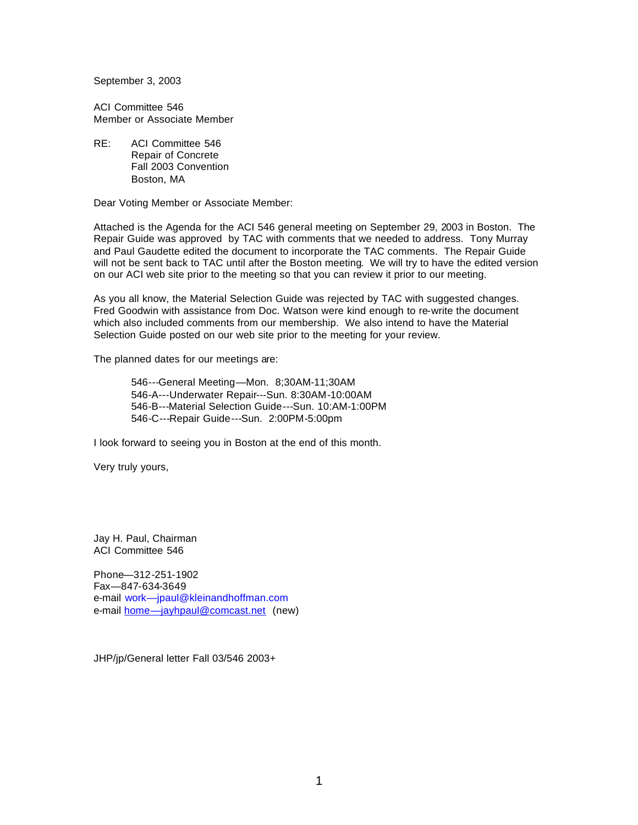September 3, 2003

ACI Committee 546 Member or Associate Member

RE: ACI Committee 546 Repair of Concrete Fall 2003 Convention Boston, MA

Dear Voting Member or Associate Member:

Attached is the Agenda for the ACI 546 general meeting on September 29, 2003 in Boston. The Repair Guide was approved by TAC with comments that we needed to address. Tony Murray and Paul Gaudette edited the document to incorporate the TAC comments. The Repair Guide will not be sent back to TAC until after the Boston meeting. We will try to have the edited version on our ACI web site prior to the meeting so that you can review it prior to our meeting.

As you all know, the Material Selection Guide was rejected by TAC with suggested changes. Fred Goodwin with assistance from Doc. Watson were kind enough to re-write the document which also included comments from our membership. We also intend to have the Material Selection Guide posted on our web site prior to the meeting for your review.

The planned dates for our meetings are:

546---General Meeting—Mon. 8;30AM-11;30AM 546-A---Underwater Repair---Sun. 8:30AM-10:00AM 546-B---Material Selection Guide---Sun. 10:AM-1:00PM 546-C---Repair Guide---Sun. 2:00PM-5:00pm

I look forward to seeing you in Boston at the end of this month.

Very truly yours,

Jay H. Paul, Chairman ACI Committee 546

Phone—312-251-1902 Fax—847-634-3649 e-mail work—jpaul@kleinandhoffman.com e-mail home-jayhpaul@comcast.net (new)

JHP/jp/General letter Fall 03/546 2003+